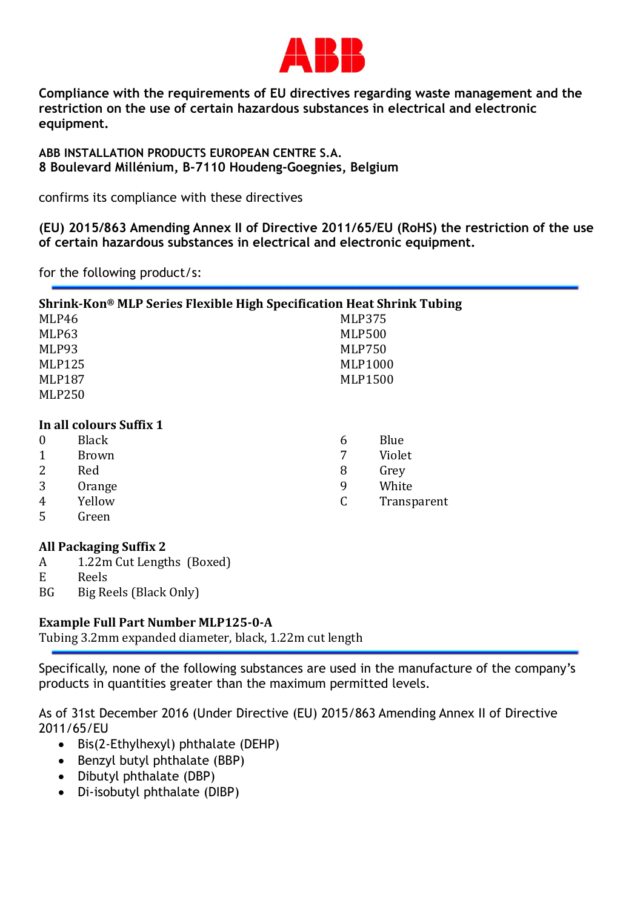

Compliance with the requirements of EU directives regarding waste management and the restriction on the use of certain hazardous substances in electrical and electronic equipment.

ABB INSTALLATION PRODUCTS EUROPEAN CENTRE S.A. 8 Boulevard Millénium, B-7110 Houdeng-Goegnies, Belgium

confirms its compliance with these directives

(EU) 2015/863 Amending Annex II of Directive 2011/65/EU (RoHS) the restriction of the use of certain hazardous substances in electrical and electronic equipment.

for the following product/s:

| Shrink-Kon® MLP Series Flexible High Specification Heat Shrink Tubing |              |                |                |             |
|-----------------------------------------------------------------------|--------------|----------------|----------------|-------------|
| MLP46                                                                 |              |                | <b>MLP375</b>  |             |
| MLP63                                                                 |              |                | <b>MLP500</b>  |             |
| MLP93                                                                 |              |                | <b>MLP750</b>  |             |
| <b>MLP125</b>                                                         |              | <b>MLP1000</b> |                |             |
| <b>MLP187</b>                                                         |              |                | <b>MLP1500</b> |             |
| <b>MLP250</b>                                                         |              |                |                |             |
|                                                                       |              |                |                |             |
| In all colours Suffix 1                                               |              |                |                |             |
| $\theta$                                                              | <b>Black</b> |                | 6              | Blue        |
|                                                                       | <b>Brown</b> |                | 7              | Violet      |
| 2                                                                     | Red          |                | 8              | Grey        |
| 3                                                                     | Orange       |                | 9              | White       |
| 4                                                                     | Yellow       |                | C              | Transparent |
| 5                                                                     | Green        |                |                |             |

## All Packaging Suffix 2

- A 1.22m Cut Lengths (Boxed)
- E Reels
- BG Big Reels (Black Only)

## Example Full Part Number MLP125-0-A

Tubing 3.2mm expanded diameter, black, 1.22m cut length

Specifically, none of the following substances are used in the manufacture of the company's products in quantities greater than the maximum permitted levels.

As of 31st December 2016 (Under Directive (EU) 2015/863 Amending Annex II of Directive 2011/65/EU

- $\bullet$  Bis(2-Ethylhexyl) phthalate (DEHP)
- $\bullet$  Benzyl butyl phthalate (BBP)
- Dibutyl phthalate (DBP)
- Di-isobutyl phthalate (DIBP)